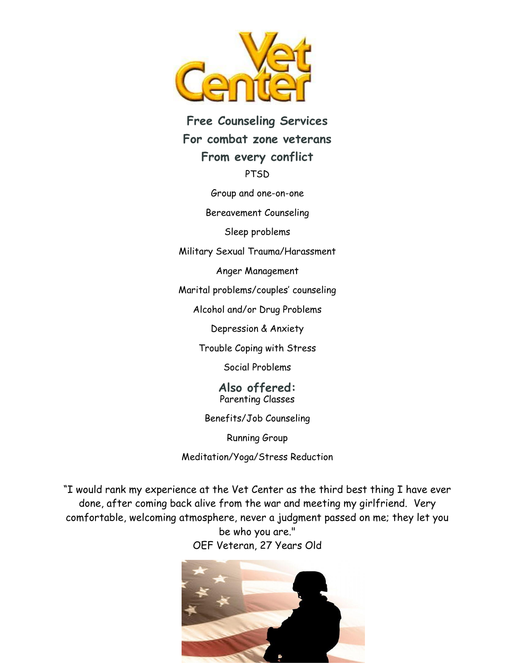

## **Free Counseling Services For combat zone veterans From every conflict PTSD**

Group and one-on-one

Bereavement Counseling

Sleep problems

Military Sexual Trauma/Harassment

Anger Management

Marital problems/couples' counseling

Alcohol and/or Drug Problems

Depression & Anxiety

Trouble Coping with Stress

Social Problems

**Also offered:** Parenting Classes

Benefits/Job Counseling

Running Group

Meditation/Yoga/Stress Reduction

"I would rank my experience at the Vet Center as the third best thing I have ever done, after coming back alive from the war and meeting my girlfriend. Very comfortable, welcoming atmosphere, never a judgment passed on me; they let you be who you are."

OEF Veteran, 27 Years Old